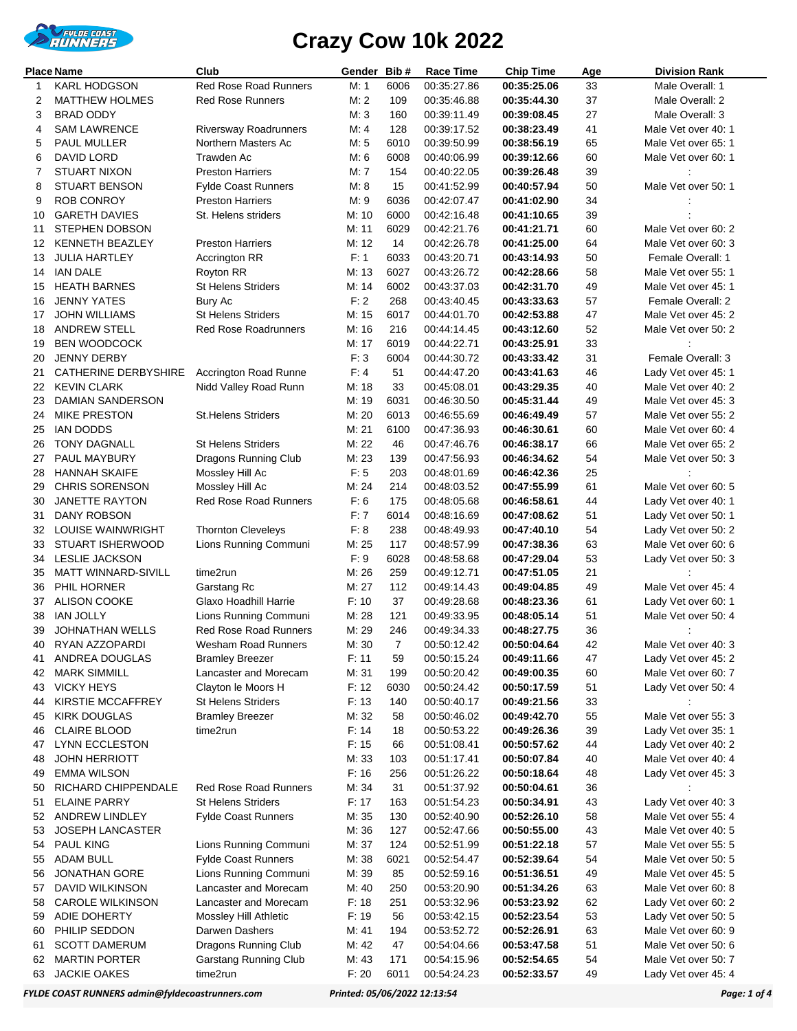

| <b>Place Name</b> |                                         | Club                                            | Gender         | Bib#           | <b>Race Time</b>           | <b>Chip Time</b>           | Age      | <b>Division Rank</b>                       |
|-------------------|-----------------------------------------|-------------------------------------------------|----------------|----------------|----------------------------|----------------------------|----------|--------------------------------------------|
| 1                 | <b>KARL HODGSON</b>                     | <b>Red Rose Road Runners</b>                    | M: 1           | 6006           | 00:35:27.86                | 00:35:25.06                | 33       | Male Overall: 1                            |
| 2                 | <b>MATTHEW HOLMES</b>                   | <b>Red Rose Runners</b>                         | M:2            | 109            | 00:35:46.88                | 00:35:44.30                | 37       | Male Overall: 2                            |
| 3                 | <b>BRAD ODDY</b>                        |                                                 | M: 3           | 160            | 00:39:11.49                | 00:39:08.45                | 27       | Male Overall: 3                            |
| 4                 | <b>SAM LAWRENCE</b>                     | Riversway Roadrunners                           | M: 4           | 128            | 00:39:17.52                | 00:38:23.49                | 41       | Male Vet over 40: 1                        |
| 5                 | <b>PAUL MULLER</b>                      | Northern Masters Ac                             | M: 5           | 6010           | 00:39:50.99                | 00:38:56.19                | 65       | Male Vet over 65: 1                        |
| 6                 | DAVID LORD                              | Trawden Ac                                      | M: 6           | 6008           | 00:40:06.99                | 00:39:12.66                | 60       | Male Vet over 60: 1                        |
| 7                 | <b>STUART NIXON</b>                     | <b>Preston Harriers</b>                         | M: 7           | 154            | 00:40:22.05                | 00:39:26.48                | 39       |                                            |
| 8                 | <b>STUART BENSON</b>                    | <b>Fylde Coast Runners</b>                      | M: 8           | 15             | 00:41:52.99                | 00:40:57.94                | 50       | Male Vet over 50: 1                        |
| 9                 | <b>ROB CONROY</b>                       | <b>Preston Harriers</b>                         | M:9            | 6036           | 00:42:07.47                | 00:41:02.90                | 34       |                                            |
| 10                | <b>GARETH DAVIES</b>                    | St. Helens striders                             | M: 10          | 6000           | 00:42:16.48                | 00:41:10.65                | 39       |                                            |
| 11                | <b>STEPHEN DOBSON</b>                   |                                                 | M: 11          | 6029           | 00:42:21.76                | 00:41:21.71                | 60       | Male Vet over 60: 2                        |
| 12                | <b>KENNETH BEAZLEY</b>                  | <b>Preston Harriers</b>                         | M: 12          | 14             | 00:42:26.78                | 00:41:25.00                | 64       | Male Vet over 60: 3                        |
| 13                | <b>JULIA HARTLEY</b><br><b>IAN DALE</b> | Accrington RR                                   | F: 1           | 6033           | 00:43:20.71                | 00:43:14.93                | 50       | Female Overall: 1                          |
| 14                | <b>HEATH BARNES</b>                     | Royton RR<br><b>St Helens Striders</b>          | M: 13<br>M: 14 | 6027<br>6002   | 00:43:26.72                | 00:42:28.66                | 58<br>49 | Male Vet over 55: 1<br>Male Vet over 45: 1 |
| 15<br>16          | <b>JENNY YATES</b>                      | Bury Ac                                         | F: 2           | 268            | 00:43:37.03<br>00:43:40.45 | 00:42:31.70<br>00:43:33.63 | 57       | Female Overall: 2                          |
| 17                | JOHN WILLIAMS                           | St Helens Striders                              | M: 15          | 6017           | 00:44:01.70                | 00:42:53.88                | 47       | Male Vet over 45: 2                        |
| 18                | <b>ANDREW STELL</b>                     | <b>Red Rose Roadrunners</b>                     | M: 16          | 216            | 00:44:14.45                | 00:43:12.60                | 52       | Male Vet over 50: 2                        |
| 19                | <b>BEN WOODCOCK</b>                     |                                                 | M: 17          | 6019           | 00:44:22.71                | 00:43:25.91                | 33       |                                            |
| 20                | <b>JENNY DERBY</b>                      |                                                 | F: 3           | 6004           | 00:44:30.72                | 00:43:33.42                | 31       | Female Overall: 3                          |
| 21                | CATHERINE DERBYSHIRE                    | Accrington Road Runne                           | F: 4           | 51             | 00:44:47.20                | 00:43:41.63                | 46       | Lady Vet over 45: 1                        |
| 22                | <b>KEVIN CLARK</b>                      | Nidd Valley Road Runn                           | M: 18          | 33             | 00:45:08.01                | 00:43:29.35                | 40       | Male Vet over 40: 2                        |
| 23                | <b>DAMIAN SANDERSON</b>                 |                                                 | M: 19          | 6031           | 00:46:30.50                | 00:45:31.44                | 49       | Male Vet over 45: 3                        |
| 24                | <b>MIKE PRESTON</b>                     | <b>St.Helens Striders</b>                       | M: 20          | 6013           | 00:46:55.69                | 00:46:49.49                | 57       | Male Vet over 55: 2                        |
| 25                | <b>IAN DODDS</b>                        |                                                 | M: 21          | 6100           | 00:47:36.93                | 00:46:30.61                | 60       | Male Vet over 60: 4                        |
| 26                | <b>TONY DAGNALL</b>                     | St Helens Striders                              | M: 22          | 46             | 00:47:46.76                | 00:46:38.17                | 66       | Male Vet over 65: 2                        |
| 27                | PAUL MAYBURY                            | Dragons Running Club                            | M: 23          | 139            | 00:47:56.93                | 00:46:34.62                | 54       | Male Vet over 50: 3                        |
| 28                | <b>HANNAH SKAIFE</b>                    | Mossley Hill Ac                                 | F: 5           | 203            | 00:48:01.69                | 00:46:42.36                | 25       |                                            |
| 29                | <b>CHRIS SORENSON</b>                   | Mossley Hill Ac                                 | M: 24          | 214            | 00:48:03.52                | 00:47:55.99                | 61       | Male Vet over 60: 5                        |
| 30                | <b>JANETTE RAYTON</b>                   | <b>Red Rose Road Runners</b>                    | F: 6           | 175            | 00:48:05.68                | 00:46:58.61                | 44       | Lady Vet over 40: 1                        |
| 31                | DANY ROBSON                             |                                                 | F: 7           | 6014           | 00:48:16.69                | 00:47:08.62                | 51       | Lady Vet over 50: 1                        |
| 32                | LOUISE WAINWRIGHT                       | <b>Thornton Cleveleys</b>                       | F: 8           | 238            | 00:48:49.93                | 00:47:40.10                | 54       | Lady Vet over 50: 2                        |
| 33                | STUART ISHERWOOD                        | Lions Running Communi                           | M: 25          | 117            | 00:48:57.99                | 00:47:38.36                | 63       | Male Vet over 60: 6                        |
| 34                | <b>LESLIE JACKSON</b>                   |                                                 | F: 9           | 6028           | 00:48:58.68                | 00:47:29.04                | 53       | Lady Vet over 50: 3                        |
| 35                | <b>MATT WINNARD-SIVILL</b>              | time2run                                        | M: 26          | 259            | 00:49:12.71                | 00:47:51.05                | 21       |                                            |
| 36                | PHIL HORNER                             | Garstang Rc                                     | M: 27          | 112            | 00:49:14.43                | 00:49:04.85                | 49       | Male Vet over 45: 4                        |
| 37                | <b>ALISON COOKE</b>                     | Glaxo Hoadhill Harrie                           | F: 10          | 37             | 00:49:28.68                | 00:48:23.36                | 61       | Lady Vet over 60: 1                        |
| 38                | <b>IAN JOLLY</b>                        | Lions Running Communi                           | M: 28          | 121            | 00:49:33.95                | 00:48:05.14                | 51       | Male Vet over 50: 4                        |
| 39                | <b>JOHNATHAN WELLS</b>                  | <b>Red Rose Road Runners</b>                    | M: 29          | 246            | 00:49:34.33                | 00:48:27.75                | 36       |                                            |
| 40                | RYAN AZZOPARDI                          | Wesham Road Runners                             | M: 30          | $\overline{7}$ | 00:50:12.42                | 00:50:04.64                | 42       | Male Vet over 40: 3                        |
| 41                | ANDREA DOUGLAS<br><b>MARK SIMMILL</b>   | <b>Bramley Breezer</b><br>Lancaster and Morecam | F: 11<br>M: 31 | 59             | 00:50:15.24                | 00:49:11.66                | 47       | Lady Vet over 45: 2<br>Male Vet over 60: 7 |
| 42<br>43          | <b>VICKY HEYS</b>                       | Clayton le Moors H                              | F: 12          | 199<br>6030    | 00:50:20.42<br>00:50:24.42 | 00:49:00.35<br>00:50:17.59 | 60<br>51 | Lady Vet over 50: 4                        |
| 44                | KIRSTIE MCCAFFREY                       | St Helens Striders                              | F: 13          | 140            | 00:50:40.17                | 00:49:21.56                | 33       |                                            |
| 45                | <b>KIRK DOUGLAS</b>                     | <b>Bramley Breezer</b>                          | M: 32          | 58             | 00:50:46.02                | 00:49:42.70                | 55       | Male Vet over 55: 3                        |
| 46                | <b>CLAIRE BLOOD</b>                     | time2run                                        | F: 14          | 18             | 00:50:53.22                | 00:49:26.36                | 39       | Lady Vet over 35: 1                        |
| 47                | <b>LYNN ECCLESTON</b>                   |                                                 | F: 15          | 66             | 00:51:08.41                | 00:50:57.62                | 44       | Lady Vet over 40: 2                        |
| 48                | <b>JOHN HERRIOTT</b>                    |                                                 | M: 33          | 103            | 00:51:17.41                | 00:50:07.84                | 40       | Male Vet over 40: 4                        |
| 49                | <b>EMMA WILSON</b>                      |                                                 | F: 16          | 256            | 00:51:26.22                | 00:50:18.64                | 48       | Lady Vet over 45: 3                        |
| 50                | RICHARD CHIPPENDALE                     | Red Rose Road Runners                           | M: 34          | 31             | 00:51:37.92                | 00:50:04.61                | 36       |                                            |
| 51                | <b>ELAINE PARRY</b>                     | <b>St Helens Striders</b>                       | F: 17          | 163            | 00:51:54.23                | 00:50:34.91                | 43       | Lady Vet over 40: 3                        |
| 52                | ANDREW LINDLEY                          | <b>Fylde Coast Runners</b>                      | M: 35          | 130            | 00:52:40.90                | 00:52:26.10                | 58       | Male Vet over 55: 4                        |
| 53                | <b>JOSEPH LANCASTER</b>                 |                                                 | M: 36          | 127            | 00:52:47.66                | 00:50:55.00                | 43       | Male Vet over 40: 5                        |
| 54                | <b>PAUL KING</b>                        | Lions Running Communi                           | M: 37          | 124            | 00:52:51.99                | 00:51:22.18                | 57       | Male Vet over 55: 5                        |
| 55                | <b>ADAM BULL</b>                        | <b>Fylde Coast Runners</b>                      | M: 38          | 6021           | 00:52:54.47                | 00:52:39.64                | 54       | Male Vet over 50: 5                        |
| 56                | <b>JONATHAN GORE</b>                    | Lions Running Communi                           | M: 39          | 85             | 00:52:59.16                | 00:51:36.51                | 49       | Male Vet over 45: 5                        |
| 57                | DAVID WILKINSON                         | Lancaster and Morecam                           | M: 40          | 250            | 00:53:20.90                | 00:51:34.26                | 63       | Male Vet over 60: 8                        |
| 58                | <b>CAROLE WILKINSON</b>                 | Lancaster and Morecam                           | F: 18          | 251            | 00:53:32.96                | 00:53:23.92                | 62       | Lady Vet over 60: 2                        |
| 59                | ADIE DOHERTY                            | Mossley Hill Athletic                           | F: 19          | 56             | 00:53:42.15                | 00:52:23.54                | 53       | Lady Vet over 50: 5                        |
| 60                | PHILIP SEDDON                           | Darwen Dashers                                  | M: 41          | 194            | 00:53:52.72                | 00:52:26.91                | 63       | Male Vet over 60: 9                        |
| 61                | <b>SCOTT DAMERUM</b>                    | Dragons Running Club                            | M: 42          | 47             | 00:54:04.66                | 00:53:47.58                | 51       | Male Vet over 50: 6                        |
| 62                | <b>MARTIN PORTER</b>                    | Garstang Running Club                           | M: 43          | 171            | 00:54:15.96                | 00:52:54.65                | 54       | Male Vet over 50: 7                        |
| 63                | <b>JACKIE OAKES</b>                     | time2run                                        | F: 20          | 6011           | 00:54:24.23                | 00:52:33.57                | 49       | Lady Vet over 45: 4                        |

*FYLDE COAST RUNNERS admin@fyldecoastrunners.com Printed: 05/06/2022 12:13:54 Page: 1 of 4*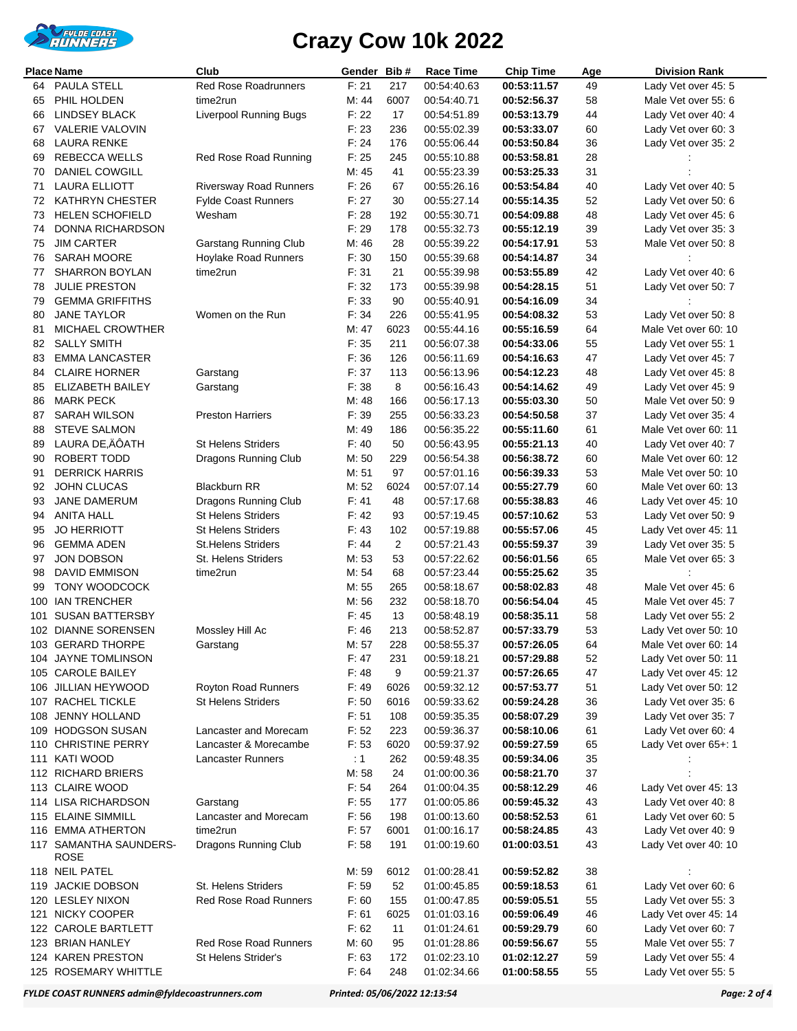

|          | <b>Place Name</b>                        | Club                                                | Gender Bib#    |                | Race Time                  | <b>Chip Time</b>           | Age      | <b>Division Rank</b>                       |
|----------|------------------------------------------|-----------------------------------------------------|----------------|----------------|----------------------------|----------------------------|----------|--------------------------------------------|
| 64       | <b>PAULA STELL</b>                       | Red Rose Roadrunners                                | F: 21          | 217            | 00:54:40.63                | 00:53:11.57                | 49       | Lady Vet over 45: 5                        |
| 65       | PHIL HOLDEN                              | time2run                                            | M: 44          | 6007           | 00:54:40.71                | 00:52:56.37                | 58       | Male Vet over 55: 6                        |
| 66       | <b>LINDSEY BLACK</b>                     | <b>Liverpool Running Bugs</b>                       | F: 22          | 17             | 00:54:51.89                | 00:53:13.79                | 44       | Lady Vet over 40: 4                        |
| 67       | VALERIE VALOVIN                          |                                                     | F: 23          | 236            | 00:55:02.39                | 00:53:33.07                | 60       | Lady Vet over 60: 3                        |
| 68       | LAURA RENKE                              |                                                     | F: 24          | 176            | 00:55:06.44                | 00:53:50.84                | 36       | Lady Vet over 35: 2                        |
| 69       | <b>REBECCA WELLS</b>                     | Red Rose Road Running                               | F: 25          | 245            | 00:55:10.88                | 00:53:58.81                | 28       |                                            |
| 70       | DANIEL COWGILL                           |                                                     | M: 45          | 41             | 00:55:23.39                | 00:53:25.33                | 31       |                                            |
| 71       | <b>LAURA ELLIOTT</b>                     | <b>Riversway Road Runners</b>                       | F:26           | 67             | 00:55:26.16                | 00:53:54.84                | 40       | Lady Vet over 40: 5                        |
| 72       | <b>KATHRYN CHESTER</b>                   | <b>Fylde Coast Runners</b>                          | F: 27          | 30             | 00:55:27.14                | 00:55:14.35                | 52       | Lady Vet over 50: 6                        |
| 73       | <b>HELEN SCHOFIELD</b>                   | Wesham                                              | F: 28          | 192            | 00:55:30.71                | 00:54:09.88                | 48       | Lady Vet over 45: 6                        |
| 74       | DONNA RICHARDSON                         |                                                     | F: 29          | 178            | 00:55:32.73                | 00:55:12.19                | 39       | Lady Vet over 35: 3                        |
| 75       | <b>JIM CARTER</b>                        | <b>Garstang Running Club</b>                        | M: 46          | 28             | 00:55:39.22                | 00:54:17.91                | 53       | Male Vet over 50: 8                        |
| 76<br>77 | SARAH MOORE<br><b>SHARRON BOYLAN</b>     | Hoylake Road Runners<br>time2run                    | F: 30<br>F: 31 | 150<br>21      | 00:55:39.68<br>00:55:39.98 | 00:54:14.87<br>00:53:55.89 | 34<br>42 | Lady Vet over 40: 6                        |
| 78       | <b>JULIE PRESTON</b>                     |                                                     | F: 32          | 173            | 00:55:39.98                | 00:54:28.15                | 51       | Lady Vet over 50: 7                        |
| 79       | <b>GEMMA GRIFFITHS</b>                   |                                                     | F: 33          | 90             | 00:55:40.91                | 00:54:16.09                | 34       |                                            |
| 80       | <b>JANE TAYLOR</b>                       | Women on the Run                                    | F: 34          | 226            | 00:55:41.95                | 00:54:08.32                | 53       | Lady Vet over 50: 8                        |
| 81       | <b>MICHAEL CROWTHER</b>                  |                                                     | M: 47          | 6023           | 00:55:44.16                | 00:55:16.59                | 64       | Male Vet over 60: 10                       |
| 82       | <b>SALLY SMITH</b>                       |                                                     | F: 35          | 211            | 00:56:07.38                | 00:54:33.06                | 55       | Lady Vet over 55: 1                        |
| 83       | <b>EMMA LANCASTER</b>                    |                                                     | F: 36          | 126            | 00:56:11.69                | 00:54:16.63                | 47       | Lady Vet over 45: 7                        |
| 84       | <b>CLAIRE HORNER</b>                     | Garstang                                            | F: 37          | 113            | 00:56:13.96                | 00:54:12.23                | 48       | Lady Vet over 45: 8                        |
| 85       | <b>ELIZABETH BAILEY</b>                  | Garstang                                            | F: 38          | 8              | 00:56:16.43                | 00:54:14.62                | 49       | Lady Vet over 45: 9                        |
| 86       | <b>MARK PECK</b>                         |                                                     | M: 48          | 166            | 00:56:17.13                | 00:55:03.30                | 50       | Male Vet over 50: 9                        |
| 87       | <b>SARAH WILSON</b>                      | <b>Preston Harriers</b>                             | F: 39          | 255            | 00:56:33.23                | 00:54:50.58                | 37       | Lady Vet over 35: 4                        |
| 88       | <b>STEVE SALMON</b>                      |                                                     | M: 49          | 186            | 00:56:35.22                | 00:55:11.60                | 61       | Male Vet over 60: 11                       |
| 89       | LAURA DE,ÄÔATH                           | <b>St Helens Striders</b>                           | F: 40          | 50             | 00:56:43.95                | 00:55:21.13                | 40       | Lady Vet over 40: 7                        |
| 90       | ROBERT TODD                              | Dragons Running Club                                | M: 50          | 229            | 00:56:54.38                | 00:56:38.72                | 60       | Male Vet over 60: 12                       |
| 91       | <b>DERRICK HARRIS</b>                    |                                                     | M: 51          | 97             | 00:57:01.16                | 00:56:39.33                | 53       | Male Vet over 50: 10                       |
| 92       | <b>JOHN CLUCAS</b>                       | <b>Blackburn RR</b>                                 | M: 52          | 6024           | 00:57:07.14                | 00:55:27.79                | 60       | Male Vet over 60: 13                       |
| 93       | <b>JANE DAMERUM</b>                      | Dragons Running Club                                | F: 41          | 48             | 00:57:17.68                | 00:55:38.83                | 46       | Lady Vet over 45: 10                       |
| 94       | ANITA HALL                               | <b>St Helens Striders</b>                           | F: 42          | 93             | 00:57:19.45                | 00:57:10.62                | 53       | Lady Vet over 50: 9                        |
| 95       | <b>JO HERRIOTT</b>                       | <b>St Helens Striders</b>                           | F: 43          | 102            | 00:57:19.88                | 00:55:57.06                | 45       | Lady Vet over 45: 11                       |
| 96       | <b>GEMMA ADEN</b>                        | St.Helens Striders                                  | F:44           | $\overline{2}$ | 00:57:21.43                | 00:55:59.37                | 39       | Lady Vet over 35: 5                        |
| 97       | JON DOBSON                               | St. Helens Striders                                 | M: 53          | 53             | 00:57:22.62                | 00:56:01.56                | 65       | Male Vet over 65: 3                        |
| 98       | DAVID EMMISON                            | time2run                                            | M: 54          | 68             | 00:57:23.44                | 00:55:25.62                | 35       |                                            |
| 99       | <b>TONY WOODCOCK</b><br>100 IAN TRENCHER |                                                     | M: 55<br>M: 56 | 265<br>232     | 00:58:18.67<br>00:58:18.70 | 00:58:02.83<br>00:56:54.04 | 48<br>45 | Male Vet over 45: 6<br>Male Vet over 45: 7 |
| 101      | <b>SUSAN BATTERSBY</b>                   |                                                     | F: 45          | 13             | 00:58:48.19                | 00:58:35.11                | 58       | Lady Vet over 55: 2                        |
|          | 102 DIANNE SORENSEN                      | Mossley Hill Ac                                     | F.46           | 213            | 00:58:52.87                | 00:57:33.79                | 53       | Lady Vet over 50: 10                       |
|          | 103 GERARD THORPE                        | Garstang                                            | M: 57          | 228            | 00:58:55.37                | 00:57:26.05                | 64       | Male Vet over 60: 14                       |
|          | 104 JAYNE TOMLINSON                      |                                                     | F: 47          | 231            | 00:59:18.21                | 00:57:29.88                | 52       | Lady Vet over 50: 11                       |
|          | 105 CAROLE BAILEY                        |                                                     | F: 48          | 9              | 00:59:21.37                | 00:57:26.65                | 47       | Lady Vet over 45: 12                       |
|          | 106 JILLIAN HEYWOOD                      | Royton Road Runners                                 | F: 49          | 6026           | 00:59:32.12                | 00:57:53.77                | 51       | Lady Vet over 50: 12                       |
|          | 107 RACHEL TICKLE                        | <b>St Helens Striders</b>                           | F: 50          | 6016           | 00:59:33.62                | 00:59:24.28                | 36       | Lady Vet over 35: 6                        |
|          | 108 JENNY HOLLAND                        |                                                     | F: 51          | 108            | 00:59:35.35                | 00:58:07.29                | 39       | Lady Vet over 35: 7                        |
|          | 109 HODGSON SUSAN                        | Lancaster and Morecam                               | F: 52          | 223            | 00:59:36.37                | 00:58:10.06                | 61       | Lady Vet over 60: 4                        |
|          | 110 CHRISTINE PERRY                      | Lancaster & Morecambe                               | F: 53          | 6020           | 00:59:37.92                | 00:59:27.59                | 65       | Lady Vet over 65+: 1                       |
|          | 111 KATI WOOD                            | <b>Lancaster Runners</b>                            | $\therefore$ 1 | 262            | 00:59:48.35                | 00:59:34.06                | 35       |                                            |
|          | 112 RICHARD BRIERS                       |                                                     | M: 58          | 24             | 01:00:00.36                | 00:58:21.70                | 37       |                                            |
|          | 113 CLAIRE WOOD                          |                                                     | F: 54          | 264            | 01:00:04.35                | 00:58:12.29                | 46       | Lady Vet over 45: 13                       |
|          | 114 LISA RICHARDSON                      | Garstang                                            | F: 55          | 177            | 01:00:05.86                | 00:59:45.32                | 43       | Lady Vet over 40: 8                        |
|          | 115 ELAINE SIMMILL                       | Lancaster and Morecam                               | F: 56          | 198            | 01:00:13.60                | 00:58:52.53                | 61       | Lady Vet over 60: 5                        |
|          | 116 EMMA ATHERTON                        | time2run                                            | F: 57          | 6001           | 01:00:16.17                | 00:58:24.85                | 43       | Lady Vet over 40: 9                        |
|          | 117 SAMANTHA SAUNDERS-<br>ROSE           | Dragons Running Club                                | F: 58          | 191            | 01:00:19.60                | 01:00:03.51                | 43       | Lady Vet over 40: 10                       |
|          | 118 NEIL PATEL                           |                                                     | M: 59          | 6012           | 01:00:28.41                | 00:59:52.82                | 38       |                                            |
|          | 119 JACKIE DOBSON                        | <b>St. Helens Striders</b>                          | F: 59          | 52             | 01:00:45.85                | 00:59:18.53                | 61       | Lady Vet over 60: 6                        |
|          | 120 LESLEY NIXON                         | <b>Red Rose Road Runners</b>                        | F: 60          | 155            | 01:00:47.85                | 00:59:05.51                | 55       | Lady Vet over 55: 3                        |
|          | 121 NICKY COOPER                         |                                                     | F: 61          | 6025           | 01:01:03.16                | 00:59:06.49                | 46       | Lady Vet over 45: 14                       |
|          | 122 CAROLE BARTLETT                      |                                                     | F: 62          | 11             | 01:01:24.61                | 00:59:29.79                | 60       | Lady Vet over 60: 7                        |
|          | 123 BRIAN HANLEY<br>124 KAREN PRESTON    | <b>Red Rose Road Runners</b><br>St Helens Strider's | M: 60<br>F: 63 | 95<br>172      | 01:01:28.86<br>01:02:23.10 | 00:59:56.67<br>01:02:12.27 | 55<br>59 | Male Vet over 55: 7<br>Lady Vet over 55: 4 |
|          | 125 ROSEMARY WHITTLE                     |                                                     | F: 64          | 248            | 01:02:34.66                | 01:00:58.55                | 55       | Lady Vet over 55: 5                        |
|          |                                          |                                                     |                |                |                            |                            |          |                                            |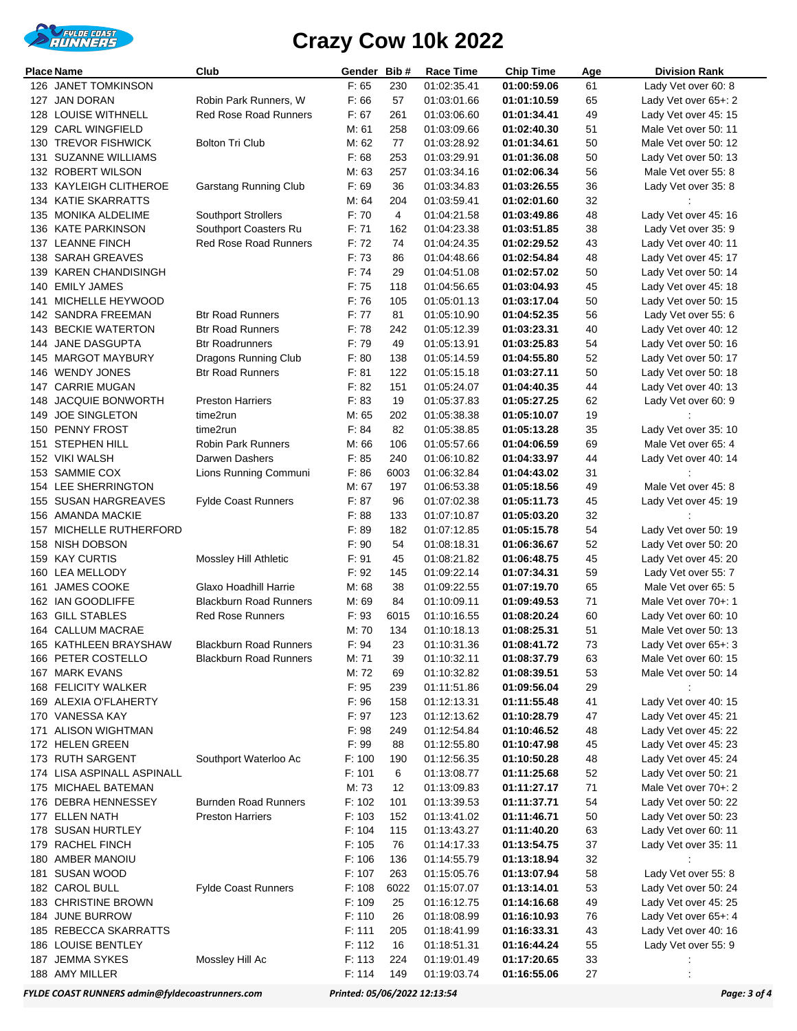

|     | <b>Place Name</b>                     | Club                          | Gender | Bib#           | Race Time   | Chip Time   | Age | <b>Division Rank</b> |
|-----|---------------------------------------|-------------------------------|--------|----------------|-------------|-------------|-----|----------------------|
|     | 126 JANET TOMKINSON                   |                               | F: 65  | 230            | 01:02:35.41 | 01:00:59.06 | 61  | Lady Vet over 60: 8  |
|     | 127 JAN DORAN                         | Robin Park Runners, W         | F:66   | 57             | 01:03:01.66 | 01:01:10.59 | 65  | Lady Vet over 65+: 2 |
|     | 128 LOUISE WITHNELL                   | <b>Red Rose Road Runners</b>  | F: 67  | 261            | 01:03:06.60 | 01:01:34.41 | 49  | Lady Vet over 45: 15 |
|     | 129 CARL WINGFIELD                    |                               | M: 61  | 258            | 01:03:09.66 | 01:02:40.30 | 51  | Male Vet over 50: 11 |
|     | 130 TREVOR FISHWICK                   | <b>Bolton Tri Club</b>        | M: 62  | 77             | 01:03:28.92 | 01:01:34.61 | 50  | Male Vet over 50: 12 |
|     | 131 SUZANNE WILLIAMS                  |                               | F: 68  | 253            | 01:03:29.91 | 01:01:36.08 | 50  | Lady Vet over 50: 13 |
|     | 132 ROBERT WILSON                     |                               | M: 63  | 257            | 01:03:34.16 | 01:02:06.34 | 56  | Male Vet over 55: 8  |
|     | 133 KAYLEIGH CLITHEROE                | Garstang Running Club         | F: 69  | 36             | 01:03:34.83 | 01:03:26.55 | 36  | Lady Vet over 35: 8  |
|     | 134 KATIE SKARRATTS                   |                               | M: 64  | 204            | 01:03:59.41 | 01:02:01.60 | 32  |                      |
|     | 135 MONIKA ALDELIME                   | Southport Strollers           | F: 70  | $\overline{4}$ | 01:04:21.58 | 01:03:49.86 | 48  | Lady Vet over 45: 16 |
|     | 136 KATE PARKINSON                    | Southport Coasters Ru         | F: 71  | 162            | 01:04:23.38 | 01:03:51.85 | 38  | Lady Vet over 35: 9  |
|     | 137 LEANNE FINCH                      | <b>Red Rose Road Runners</b>  | F.72   | 74             | 01:04:24.35 | 01:02:29.52 | 43  | Lady Vet over 40: 11 |
|     | 138 SARAH GREAVES                     |                               | F: 73  | 86             | 01:04:48.66 | 01:02:54.84 | 48  | Lady Vet over 45: 17 |
|     | 139 KAREN CHANDISINGH                 |                               | F: 74  | 29             | 01:04:51.08 | 01:02:57.02 | 50  | Lady Vet over 50: 14 |
| 140 | <b>EMILY JAMES</b>                    |                               | F: 75  | 118            | 01:04:56.65 | 01:03:04.93 | 45  | Lady Vet over 45: 18 |
| 141 | MICHELLE HEYWOOD                      |                               | F: 76  | 105            | 01:05:01.13 | 01:03:17.04 | 50  | Lady Vet over 50: 15 |
|     | 142 SANDRA FREEMAN                    | <b>Btr Road Runners</b>       | F: 77  | 81             | 01:05:10.90 | 01:04:52.35 | 56  | Lady Vet over 55: 6  |
|     | <b>143 BECKIE WATERTON</b>            | <b>Btr Road Runners</b>       | F: 78  | 242            | 01:05:12.39 | 01:03:23.31 | 40  | Lady Vet over 40: 12 |
|     | 144 JANE DASGUPTA                     | <b>Btr Roadrunners</b>        | F: 79  | 49             | 01:05:13.91 | 01:03:25.83 | 54  | Lady Vet over 50: 16 |
|     | 145 MARGOT MAYBURY                    | Dragons Running Club          | F: 80  | 138            | 01:05:14.59 | 01:04:55.80 | 52  | Lady Vet over 50: 17 |
|     | 146 WENDY JONES                       | <b>Btr Road Runners</b>       | F: 81  | 122            | 01:05:15.18 | 01:03:27.11 | 50  | Lady Vet over 50: 18 |
|     | 147 CARRIE MUGAN                      |                               | F: 82  | 151            | 01:05:24.07 | 01:04:40.35 | 44  | Lady Vet over 40: 13 |
|     | 148 JACQUIE BONWORTH                  | <b>Preston Harriers</b>       | F: 83  | 19             | 01:05:37.83 | 01:05:27.25 | 62  | Lady Vet over 60: 9  |
|     | 149 JOE SINGLETON                     | time2run                      | M: 65  | 202            | 01:05:38.38 | 01:05:10.07 | 19  |                      |
|     | 150 PENNY FROST                       | time2run                      | F: 84  | 82             | 01:05:38.85 | 01:05:13.28 | 35  | Lady Vet over 35: 10 |
| 151 | <b>STEPHEN HILL</b>                   | <b>Robin Park Runners</b>     | M: 66  | 106            | 01:05:57.66 | 01:04:06.59 | 69  | Male Vet over 65: 4  |
|     | 152 VIKI WALSH                        | Darwen Dashers                | F: 85  | 240            | 01:06:10.82 | 01:04:33.97 | 44  | Lady Vet over 40: 14 |
|     | 153 SAMMIE COX                        | Lions Running Communi         | F: 86  | 6003           | 01:06:32.84 | 01:04:43.02 | 31  |                      |
|     | 154 LEE SHERRINGTON                   |                               | M: 67  | 197            | 01:06:53.38 | 01:05:18.56 | 49  | Male Vet over 45: 8  |
|     | 155 SUSAN HARGREAVES                  | <b>Fylde Coast Runners</b>    | F: 87  | 96             | 01:07:02.38 | 01:05:11.73 | 45  | Lady Vet over 45: 19 |
|     | 156 AMANDA MACKIE                     |                               | F: 88  | 133            | 01:07:10.87 | 01:05:03.20 | 32  |                      |
|     | 157 MICHELLE RUTHERFORD               |                               | F: 89  | 182            | 01:07:12.85 | 01:05:15.78 | 54  | Lady Vet over 50: 19 |
|     | 158 NISH DOBSON                       |                               | F: 90  | 54             | 01:08:18.31 | 01:06:36.67 | 52  | Lady Vet over 50: 20 |
|     | 159 KAY CURTIS                        | Mossley Hill Athletic         | F: 91  | 45             | 01:08:21.82 | 01:06:48.75 | 45  | Lady Vet over 45: 20 |
|     | 160 LEA MELLODY                       |                               | F: 92  | 145            | 01:09:22.14 | 01:07:34.31 | 59  | Lady Vet over 55: 7  |
| 161 | <b>JAMES COOKE</b>                    | Glaxo Hoadhill Harrie         | M: 68  | 38             | 01:09:22.55 | 01:07:19.70 | 65  | Male Vet over 65: 5  |
|     | 162 IAN GOODLIFFE                     | <b>Blackburn Road Runners</b> | M: 69  | 84             | 01:10:09.11 | 01:09:49.53 | 71  | Male Vet over 70+: 1 |
|     | 163 GILL STABLES                      | <b>Red Rose Runners</b>       | F: 93  | 6015           | 01:10:16.55 | 01:08:20.24 | 60  | Lady Vet over 60: 10 |
|     | 164 CALLUM MACRAE                     |                               | M: 70  | 134            | 01:10:18.13 | 01:08:25.31 | 51  | Male Vet over 50: 13 |
|     | 165 KATHLEEN BRAYSHAW                 | <b>Blackburn Road Runners</b> | F: 94  | 23             | 01:10:31.36 | 01:08:41.72 | 73  | Lady Vet over 65+: 3 |
|     | 166 PETER COSTELLO                    | <b>Blackburn Road Runners</b> | M: 71  | 39             | 01:10:32.11 | 01:08:37.79 | 63  | Male Vet over 60: 15 |
|     | 167 MARK EVANS                        |                               | M: 72  | 69             | 01:10:32.82 | 01:08:39.51 | 53  | Male Vet over 50: 14 |
|     | 168 FELICITY WALKER                   |                               | F: 95  | 239            | 01:11:51.86 | 01:09:56.04 | 29  |                      |
|     | 169 ALEXIA O'FLAHERTY                 |                               | F: 96  | 158            | 01:12:13.31 | 01:11:55.48 | 41  | Lady Vet over 40: 15 |
|     | 170 VANESSA KAY                       |                               | F: 97  | 123            | 01:12:13.62 | 01:10:28.79 | 47  | Lady Vet over 45: 21 |
|     | 171 ALISON WIGHTMAN                   |                               | F: 98  | 249            | 01:12:54.84 | 01:10:46.52 | 48  | Lady Vet over 45: 22 |
|     | 172 HELEN GREEN                       |                               | F: 99  | 88             | 01:12:55.80 | 01:10:47.98 | 45  | Lady Vet over 45: 23 |
|     | 173 RUTH SARGENT                      | Southport Waterloo Ac         | F: 100 | 190            | 01:12:56.35 | 01:10:50.28 | 48  | Lady Vet over 45: 24 |
|     | 174 LISA ASPINALL ASPINALL            |                               | F: 101 | 6              | 01:13:08.77 | 01:11:25.68 | 52  | Lady Vet over 50: 21 |
|     | 175 MICHAEL BATEMAN                   |                               | M: 73  | 12             | 01:13:09.83 | 01:11:27.17 | 71  | Male Vet over 70+: 2 |
|     | 176 DEBRA HENNESSEY                   | <b>Burnden Road Runners</b>   | F: 102 | 101            | 01:13:39.53 | 01:11:37.71 | 54  | Lady Vet over 50: 22 |
|     | 177 ELLEN NATH                        | <b>Preston Harriers</b>       | F: 103 | 152            | 01:13:41.02 | 01:11:46.71 | 50  | Lady Vet over 50: 23 |
|     | 178 SUSAN HURTLEY                     |                               | F: 104 | 115            | 01:13:43.27 | 01:11:40.20 | 63  | Lady Vet over 60: 11 |
|     | 179 RACHEL FINCH                      |                               | F: 105 | 76             | 01:14:17.33 | 01:13:54.75 | 37  | Lady Vet over 35: 11 |
|     | 180 AMBER MANOIU                      |                               | F: 106 | 136            | 01:14:55.79 | 01:13:18.94 | 32  |                      |
|     | 181 SUSAN WOOD                        |                               | F: 107 | 263            | 01:15:05.76 | 01:13:07.94 | 58  | Lady Vet over 55: 8  |
|     | 182 CAROL BULL                        | <b>Fylde Coast Runners</b>    | F: 108 | 6022           | 01:15:07.07 | 01:13:14.01 | 53  | Lady Vet over 50: 24 |
|     | 183 CHRISTINE BROWN                   |                               | F: 109 | 25             | 01:16:12.75 | 01:14:16.68 | 49  | Lady Vet over 45: 25 |
|     | 184 JUNE BURROW                       |                               | F: 110 | 26             | 01:18:08.99 | 01:16:10.93 | 76  | Lady Vet over 65+: 4 |
|     | 185 REBECCA SKARRATTS                 |                               | F: 111 | 205            | 01:18:41.99 | 01:16:33.31 | 43  | Lady Vet over 40: 16 |
|     | 186 LOUISE BENTLEY<br>187 JEMMA SYKES |                               | F: 112 | 16<br>224      | 01:18:51.31 | 01:16:44.24 | 55  | Lady Vet over 55: 9  |
|     |                                       | Mossley Hill Ac               | F: 113 |                | 01:19:01.49 | 01:17:20.65 | 33  |                      |
|     | 188 AMY MILLER                        |                               | F: 114 | 149            | 01:19:03.74 | 01:16:55.06 | 27  |                      |

*FYLDE COAST RUNNERS admin@fyldecoastrunners.com Printed: 05/06/2022 12:13:54 Page: 3 of 4*